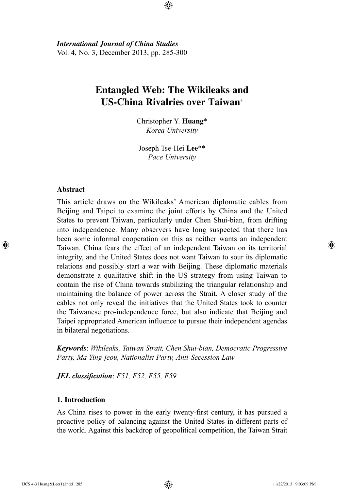# **Entangled Web: The Wikileaks and US-China Rivalries over Taiwan**<sup>+</sup>

⊕

Christopher Y. **Huang**\* *Korea University*

Joseph Tse-Hei **Lee**\*\* *Pace University*

## **Abstract**

⊕

This article draws on the Wikileaks' American diplomatic cables from Beijing and Taipei to examine the joint efforts by China and the United States to prevent Taiwan, particularly under Chen Shui-bian, from drifting into independence. Many observers have long suspected that there has been some informal cooperation on this as neither wants an independent Taiwan. China fears the effect of an independent Taiwan on its territorial integrity, and the United States does not want Taiwan to sour its diplomatic relations and possibly start a war with Beijing. These diplomatic materials demonstrate a qualitative shift in the US strategy from using Taiwan to contain the rise of China towards stabilizing the triangular relationship and maintaining the balance of power across the Strait. A closer study of the cables not only reveal the initiatives that the United States took to counter the Taiwanese pro-independence force, but also indicate that Beijing and Taipei appropriated American influence to pursue their independent agendas in bilateral negotiations.

*Keywords*: *Wikileaks, Taiwan Strait, Chen Shui-bian, Democratic Progressive Party, Ma Ying-jeou, Nationalist Party, Anti-Secession Law*

*JEL classification*: *F51, F52, F55, F59*

# **1. Introduction**

As China rises to power in the early twenty-first century, it has pursued a proactive policy of balancing against the United States in different parts of the world. Against this backdrop of geopolitical competition, the Taiwan Strait

IJCS 4-3 Huang&Lee(1).indd 285 11/22/2013 9:03:09 PM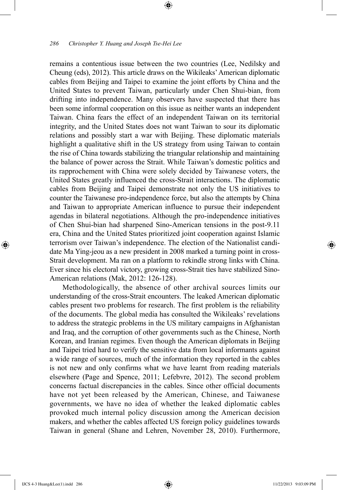remains a contentious issue between the two countries (Lee, Nedilsky and Cheung (eds), 2012). This article draws on the Wikileaks' American diplomatic cables from Beijing and Taipei to examine the joint efforts by China and the United States to prevent Taiwan, particularly under Chen Shui-bian, from drifting into independence. Many observers have suspected that there has been some informal cooperation on this issue as neither wants an independent Taiwan. China fears the effect of an independent Taiwan on its territorial integrity, and the United States does not want Taiwan to sour its diplomatic relations and possibly start a war with Beijing. These diplomatic materials highlight a qualitative shift in the US strategy from using Taiwan to contain the rise of China towards stabilizing the triangular relationship and maintaining the balance of power across the Strait. While Taiwan's domestic politics and its rapprochement with China were solely decided by Taiwanese voters, the United States greatly influenced the cross-Strait interactions. The diplomatic cables from Beijing and Taipei demonstrate not only the US initiatives to counter the Taiwanese pro-independence force, but also the attempts by China and Taiwan to appropriate American influence to pursue their independent agendas in bilateral negotiations. Although the pro-independence initiatives of Chen Shui-bian had sharpened Sino-American tensions in the post-9.11 era, China and the United States prioritized joint cooperation against Islamic terrorism over Taiwan's independence. The election of the Nationalist candidate Ma Ying-jeou as a new president in 2008 marked a turning point in cross-Strait development. Ma ran on a platform to rekindle strong links with China. Ever since his electoral victory, growing cross-Strait ties have stabilized Sino-American relations (Mak, 2012: 126-128).

⊕

Methodologically, the absence of other archival sources limits our understanding of the cross-Strait encounters. The leaked American diplomatic cables present two problems for research. The first problem is the reliability of the documents. The global media has consulted the Wikileaks' revelations to address the strategic problems in the US military campaigns in Afghanistan and Iraq, and the corruption of other governments such as the Chinese, North Korean, and Iranian regimes. Even though the American diplomats in Beijing and Taipei tried hard to verify the sensitive data from local informants against a wide range of sources, much of the information they reported in the cables is not new and only confirms what we have learnt from reading materials elsewhere (Page and Spence, 2011; Lefebvre, 2012). The second problem concerns factual discrepancies in the cables. Since other official documents have not yet been released by the American, Chinese, and Taiwanese governments, we have no idea of whether the leaked diplomatic cables provoked much internal policy discussion among the American decision makers, and whether the cables affected US foreign policy guidelines towards Taiwan in general (Shane and Lehren, November 28, 2010). Furthermore,

⊕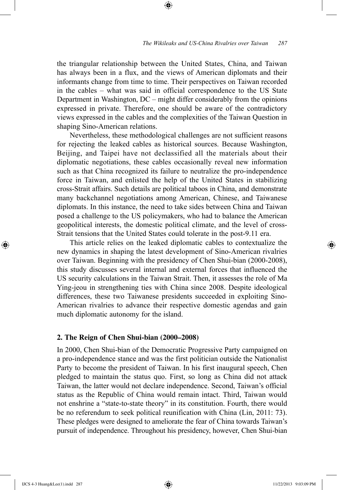the triangular relationship between the United States, China, and Taiwan has always been in a flux, and the views of American diplomats and their informants change from time to time. Their perspectives on Taiwan recorded in the cables – what was said in official correspondence to the US State Department in Washington, DC – might differ considerably from the opinions expressed in private. Therefore, one should be aware of the contradictory views expressed in the cables and the complexities of the Taiwan Question in shaping Sino-American relations.

⊕

Nevertheless, these methodological challenges are not sufficient reasons for rejecting the leaked cables as historical sources. Because Washington, Beijing, and Taipei have not declassified all the materials about their diplomatic negotiations, these cables occasionally reveal new information such as that China recognized its failure to neutralize the pro-independence force in Taiwan, and enlisted the help of the United States in stabilizing cross-Strait affairs. Such details are political taboos in China, and demonstrate many backchannel negotiations among American, Chinese, and Taiwanese diplomats. In this instance, the need to take sides between China and Taiwan posed a challenge to the US policymakers, who had to balance the American geopolitical interests, the domestic political climate, and the level of cross-Strait tensions that the United States could tolerate in the post-9.11 era.

This article relies on the leaked diplomatic cables to contextualize the new dynamics in shaping the latest development of Sino-American rivalries over Taiwan. Beginning with the presidency of Chen Shui-bian (2000-2008), this study discusses several internal and external forces that influenced the US security calculations in the Taiwan Strait. Then, it assesses the role of Ma Ying-jeou in strengthening ties with China since 2008. Despite ideological differences, these two Taiwanese presidents succeeded in exploiting Sino-American rivalries to advance their respective domestic agendas and gain much diplomatic autonomy for the island.

## **2. The Reign of Chen Shui-bian (2000–2008)**

In 2000, Chen Shui-bian of the Democratic Progressive Party campaigned on a pro-independence stance and was the first politician outside the Nationalist Party to become the president of Taiwan. In his first inaugural speech, Chen pledged to maintain the status quo. First, so long as China did not attack Taiwan, the latter would not declare independence. Second, Taiwan's official status as the Republic of China would remain intact. Third, Taiwan would not enshrine a "state-to-state theory" in its constitution. Fourth, there would be no referendum to seek political reunification with China (Lin, 2011: 73). These pledges were designed to ameliorate the fear of China towards Taiwan's pursuit of independence. Throughout his presidency, however, Chen Shui-bian

⊕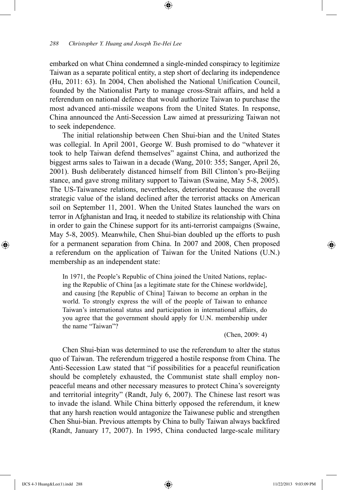## *288 Christopher Y. Huang and Joseph Tse-Hei Lee*

embarked on what China condemned a single-minded conspiracy to legitimize Taiwan as a separate political entity, a step short of declaring its independence (Hu, 2011: 63). In 2004, Chen abolished the National Unification Council, founded by the Nationalist Party to manage cross-Strait affairs, and held a referendum on national defence that would authorize Taiwan to purchase the most advanced anti-missile weapons from the United States. In response, China announced the Anti-Secession Law aimed at pressurizing Taiwan not to seek independence.

⊕

The initial relationship between Chen Shui-bian and the United States was collegial. In April 2001, George W. Bush promised to do "whatever it took to help Taiwan defend themselves" against China, and authorized the biggest arms sales to Taiwan in a decade (Wang, 2010: 355; Sanger, April 26, 2001). Bush deliberately distanced himself from Bill Clinton's pro-Beijing stance, and gave strong military support to Taiwan (Swaine, May 5-8, 2005). The US-Taiwanese relations, nevertheless, deteriorated because the overall strategic value of the island declined after the terrorist attacks on American soil on September 11, 2001. When the United States launched the wars on terror in Afghanistan and Iraq, it needed to stabilize its relationship with China in order to gain the Chinese support for its anti-terrorist campaigns (Swaine, May 5-8, 2005). Meanwhile, Chen Shui-bian doubled up the efforts to push for a permanent separation from China. In 2007 and 2008, Chen proposed a referendum on the application of Taiwan for the United Nations (U.N.) membership as an independent state:

In 1971, the People's Republic of China joined the United Nations, replacing the Republic of China [as a legitimate state for the Chinese worldwide], and causing [the Republic of China] Taiwan to become an orphan in the world. To strongly express the will of the people of Taiwan to enhance Taiwan's international status and participation in international affairs, do you agree that the government should apply for U.N. membership under the name "Taiwan"?

(Chen, 2009: 4)

Chen Shui-bian was determined to use the referendum to alter the status quo of Taiwan. The referendum triggered a hostile response from China. The Anti-Secession Law stated that "if possibilities for a peaceful reunification should be completely exhausted, the Communist state shall employ nonpeaceful means and other necessary measures to protect China's sovereignty and territorial integrity" (Randt, July 6, 2007). The Chinese last resort was to invade the island. While China bitterly opposed the referendum, it knew that any harsh reaction would antagonize the Taiwanese public and strengthen Chen Shui-bian. Previous attempts by China to bully Taiwan always backfired (Randt, January 17, 2007). In 1995, China conducted large-scale military

⊕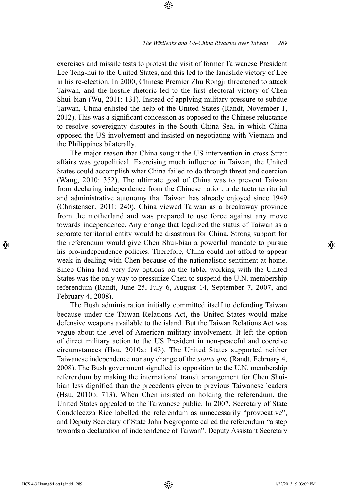exercises and missile tests to protest the visit of former Taiwanese President Lee Teng-hui to the United States, and this led to the landslide victory of Lee in his re-election. In 2000, Chinese Premier Zhu Rongji threatened to attack Taiwan, and the hostile rhetoric led to the first electoral victory of Chen Shui-bian (Wu, 2011: 131). Instead of applying military pressure to subdue Taiwan, China enlisted the help of the United States (Randt, November 1, 2012). This was a significant concession as opposed to the Chinese reluctance to resolve sovereignty disputes in the South China Sea, in which China opposed the US involvement and insisted on negotiating with Vietnam and the Philippines bilaterally.

⊕

The major reason that China sought the US intervention in cross-Strait affairs was geopolitical. Exercising much influence in Taiwan, the United States could accomplish what China failed to do through threat and coercion (Wang, 2010: 352). The ultimate goal of China was to prevent Taiwan from declaring independence from the Chinese nation, a de facto territorial and administrative autonomy that Taiwan has already enjoyed since 1949 (Christensen, 2011: 240). China viewed Taiwan as a breakaway province from the motherland and was prepared to use force against any move towards independence. Any change that legalized the status of Taiwan as a separate territorial entity would be disastrous for China. Strong support for the referendum would give Chen Shui-bian a powerful mandate to pursue his pro-independence policies. Therefore, China could not afford to appear weak in dealing with Chen because of the nationalistic sentiment at home. Since China had very few options on the table, working with the United States was the only way to pressurize Chen to suspend the U.N. membership referendum (Randt, June 25, July 6, August 14, September 7, 2007, and February 4, 2008).

The Bush administration initially committed itself to defending Taiwan because under the Taiwan Relations Act, the United States would make defensive weapons available to the island. But the Taiwan Relations Act was vague about the level of American military involvement. It left the option of direct military action to the US President in non-peaceful and coercive circumstances (Hsu, 2010a: 143). The United States supported neither Taiwanese independence nor any change of the *status quo* (Randt, February 4, 2008). The Bush government signalled its opposition to the U.N. membership referendum by making the international transit arrangement for Chen Shuibian less dignified than the precedents given to previous Taiwanese leaders (Hsu, 2010b: 713). When Chen insisted on holding the referendum, the United States appealed to the Taiwanese public. In 2007, Secretary of State Condoleezza Rice labelled the referendum as unnecessarily "provocative", and Deputy Secretary of State John Negroponte called the referendum "a step towards a declaration of independence of Taiwan". Deputy Assistant Secretary

⊕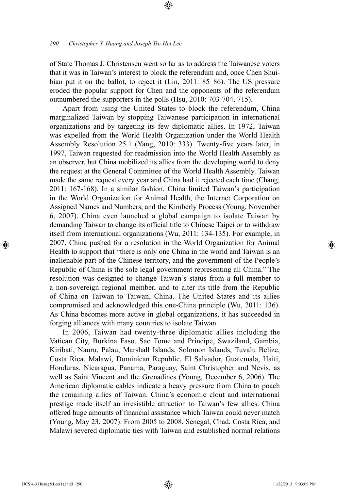of State Thomas J. Christensen went so far as to address the Taiwanese voters that it was in Taiwan's interest to block the referendum and, once Chen Shuibian put it on the ballot, to reject it (Lin, 2011: 85–86). The US pressure eroded the popular support for Chen and the opponents of the referendum outnumbered the supporters in the polls (Hsu, 2010: 703-704, 715).

⊕

Apart from using the United States to block the referendum, China marginalized Taiwan by stopping Taiwanese participation in international organizations and by targeting its few diplomatic allies. In 1972, Taiwan was expelled from the World Health Organization under the World Health Assembly Resolution 25.1 (Yang, 2010: 333). Twenty-five years later, in 1997, Taiwan requested for readmission into the World Health Assembly as an observer, but China mobilized its allies from the developing world to deny the request at the General Committee of the World Health Assembly. Taiwan made the same request every year and China had it rejected each time (Chang, 2011: 167-168). In a similar fashion, China limited Taiwan's participation in the World Organization for Animal Health, the Internet Corporation on Assigned Names and Numbers, and the Kimberly Process (Young, November 6, 2007). China even launched a global campaign to isolate Taiwan by demanding Taiwan to change its official title to Chinese Taipei or to withdraw itself from international organizations (Wu, 2011: 134-135). For example, in 2007, China pushed for a resolution in the World Organization for Animal Health to support that "there is only one China in the world and Taiwan is an inalienable part of the Chinese territory, and the government of the People's Republic of China is the sole legal government representing all China." The resolution was designed to change Taiwan's status from a full member to a non-sovereign regional member, and to alter its title from the Republic of China on Taiwan to Taiwan, China. The United States and its allies compromised and acknowledged this one-China principle (Wu, 2011: 136). As China becomes more active in global organizations, it has succeeded in forging alliances with many countries to isolate Taiwan.

In 2006, Taiwan had twenty-three diplomatic allies including the Vatican City, Burkina Faso, Sao Tome and Principe, Swaziland, Gambia, Kiribati, Nauru, Palau, Marshall Islands, Solomon Islands, Tuvalu Belize, Costa Rica, Malawi, Dominican Republic, El Salvador, Guatemala, Haiti, Honduras, Nicaragua, Panama, Paraguay, Saint Christopher and Nevis, as well as Saint Vincent and the Grenadines (Young, December 6, 2006). The American diplomatic cables indicate a heavy pressure from China to poach the remaining allies of Taiwan. China's economic clout and international prestige made itself an irresistible attraction to Taiwan's few allies. China offered huge amounts of financial assistance which Taiwan could never match (Young, May 23, 2007). From 2005 to 2008, Senegal, Chad, Costa Rica, and Malawi severed diplomatic ties with Taiwan and established normal relations

⊕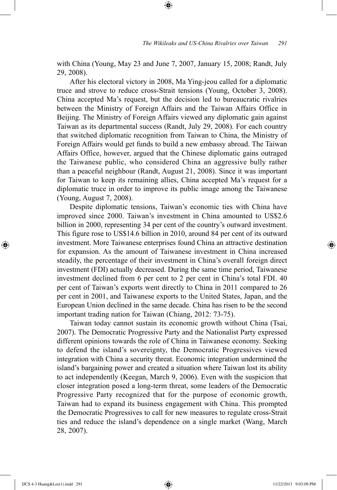with China (Young, May 23 and June 7, 2007, January 15, 2008; Randt, July 29, 2008).

⊕

After his electoral victory in 2008, Ma Ying-jeou called for a diplomatic truce and strove to reduce cross-Strait tensions (Young, October 3, 2008). China accepted Ma's request, but the decision led to bureaucratic rivalries between the Ministry of Foreign Affairs and the Taiwan Affairs Office in Beijing. The Ministry of Foreign Affairs viewed any diplomatic gain against Taiwan as its departmental success (Randt, July 29, 2008). For each country that switched diplomatic recognition from Taiwan to China, the Ministry of Foreign Affairs would get funds to build a new embassy abroad. The Taiwan Affairs Office, however, argued that the Chinese diplomatic gains outraged the Taiwanese public, who considered China an aggressive bully rather than a peaceful neighbour (Randt, August 21, 2008). Since it was important for Taiwan to keep its remaining allies, China accepted Ma's request for a diplomatic truce in order to improve its public image among the Taiwanese (Young, August 7, 2008).

Despite diplomatic tensions, Taiwan's economic ties with China have improved since 2000. Taiwan's investment in China amounted to US\$2.6 billion in 2000, representing 34 per cent of the country's outward investment. This figure rose to US\$14.6 billion in 2010, around 84 per cent of its outward investment. More Taiwanese enterprises found China an attractive destination for expansion. As the amount of Taiwanese investment in China increased steadily, the percentage of their investment in China's overall foreign direct investment (FDI) actually decreased. During the same time period, Taiwanese investment declined from 6 per cent to 2 per cent in China's total FDI. 40 per cent of Taiwan's exports went directly to China in 2011 compared to 26 per cent in 2001, and Taiwanese exports to the United States, Japan, and the European Union declined in the same decade. China has risen to be the second important trading nation for Taiwan (Chiang, 2012: 73-75).

Taiwan today cannot sustain its economic growth without China (Tsai, 2007). The Democratic Progressive Party and the Nationalist Party expressed different opinions towards the role of China in Taiwanese economy. Seeking to defend the island's sovereignty, the Democratic Progressives viewed integration with China a security threat. Economic integration undermined the island's bargaining power and created a situation where Taiwan lost its ability to act independently (Keegan, March 9, 2006). Even with the suspicion that closer integration posed a long-term threat, some leaders of the Democratic Progressive Party recognized that for the purpose of economic growth, Taiwan had to expand its business engagement with China. This prompted the Democratic Progressives to call for new measures to regulate cross-Strait ties and reduce the island's dependence on a single market (Wang, March 28, 2007).

⊕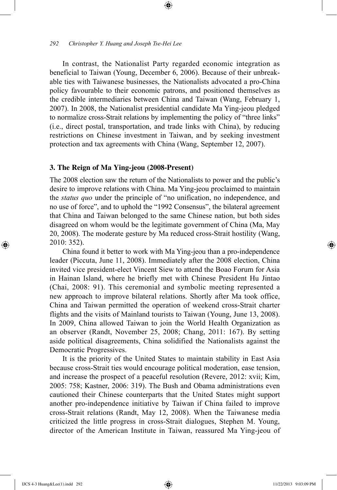#### *292 Christopher Y. Huang and Joseph Tse-Hei Lee*

In contrast, the Nationalist Party regarded economic integration as beneficial to Taiwan (Young, December 6, 2006). Because of their unbreakable ties with Taiwanese businesses, the Nationalists advocated a pro-China policy favourable to their economic patrons, and positioned themselves as the credible intermediaries between China and Taiwan (Wang, February 1, 2007). In 2008, the Nationalist presidential candidate Ma Ying-jeou pledged to normalize cross-Strait relations by implementing the policy of "three links" (i.e., direct postal, transportation, and trade links with China), by reducing restrictions on Chinese investment in Taiwan, and by seeking investment protection and tax agreements with China (Wang, September 12, 2007).

⊕

## **3. The Reign of Ma Ying-jeou (2008-Present)**

The 2008 election saw the return of the Nationalists to power and the public's desire to improve relations with China. Ma Ying-jeou proclaimed to maintain the *status quo* under the principle of "no unification, no independence, and no use of force", and to uphold the "1992 Consensus", the bilateral agreement that China and Taiwan belonged to the same Chinese nation, but both sides disagreed on whom would be the legitimate government of China (Ma, May 20, 2008). The moderate gesture by Ma reduced cross-Strait hostility (Wang, 2010: 352).

China found it better to work with Ma Ying-jeou than a pro-independence leader (Piccuta, June 11, 2008). Immediately after the 2008 election, China invited vice president-elect Vincent Siew to attend the Boao Forum for Asia in Hainan Island, where he briefly met with Chinese President Hu Jintao (Chai, 2008: 91). This ceremonial and symbolic meeting represented a new approach to improve bilateral relations. Shortly after Ma took office, China and Taiwan permitted the operation of weekend cross-Strait charter flights and the visits of Mainland tourists to Taiwan (Young, June 13, 2008). In 2009, China allowed Taiwan to join the World Health Organization as an observer (Randt, November 25, 2008; Chang, 2011: 167). By setting aside political disagreements, China solidified the Nationalists against the Democratic Progressives.

It is the priority of the United States to maintain stability in East Asia because cross-Strait ties would encourage political moderation, ease tension, and increase the prospect of a peaceful resolution (Revere, 2012: xvii; Kim, 2005: 758; Kastner, 2006: 319). The Bush and Obama administrations even cautioned their Chinese counterparts that the United States might support another pro-independence initiative by Taiwan if China failed to improve cross-Strait relations (Randt, May 12, 2008). When the Taiwanese media criticized the little progress in cross-Strait dialogues, Stephen M. Young, director of the American Institute in Taiwan, reassured Ma Ying-jeou of

⊕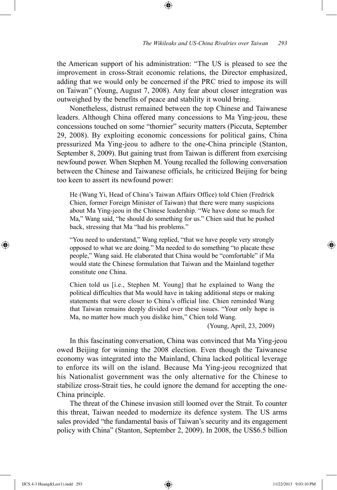the American support of his administration: "The US is pleased to see the improvement in cross-Strait economic relations, the Director emphasized, adding that we would only be concerned if the PRC tried to impose its will on Taiwan" (Young, August 7, 2008). Any fear about closer integration was outweighed by the benefits of peace and stability it would bring.

⊕

Nonetheless, distrust remained between the top Chinese and Taiwanese leaders. Although China offered many concessions to Ma Ying-jeou, these concessions touched on some "thornier" security matters (Piccuta, September 29, 2008). By exploiting economic concessions for political gains, China pressurized Ma Ying-jeou to adhere to the one-China principle (Stanton, September 8, 2009). But gaining trust from Taiwan is different from exercising newfound power. When Stephen M. Young recalled the following conversation between the Chinese and Taiwanese officials, he criticized Beijing for being too keen to assert its newfound power:

He (Wang Yi, Head of China's Taiwan Affairs Office) told Chien (Fredrick Chien, former Foreign Minister of Taiwan) that there were many suspicions about Ma Ying-jeou in the Chinese leadership. "We have done so much for Ma," Wang said, "he should do something for us." Chien said that he pushed back, stressing that Ma "had his problems."

"You need to understand," Wang replied, "that we have people very strongly opposed to what we are doing." Ma needed to do something "to placate these people," Wang said. He elaborated that China would be "comfortable" if Ma would state the Chinese formulation that Taiwan and the Mainland together constitute one China.

Chien told us [i.e., Stephen M. Young] that he explained to Wang the political difficulties that Ma would have in taking additional steps or making statements that were closer to China's official line. Chien reminded Wang that Taiwan remains deeply divided over these issues. "Your only hope is Ma, no matter how much you dislike him," Chien told Wang.

(Young, April, 23, 2009)

In this fascinating conversation, China was convinced that Ma Ying-jeou owed Beijing for winning the 2008 election. Even though the Taiwanese economy was integrated into the Mainland, China lacked political leverage to enforce its will on the island. Because Ma Ying-jeou recognized that his Nationalist government was the only alternative for the Chinese to stabilize cross-Strait ties, he could ignore the demand for accepting the one-China principle.

The threat of the Chinese invasion still loomed over the Strait. To counter this threat, Taiwan needed to modernize its defence system. The US arms sales provided "the fundamental basis of Taiwan's security and its engagement policy with China" (Stanton, September 2, 2009). In 2008, the US\$6.5 billion

⊕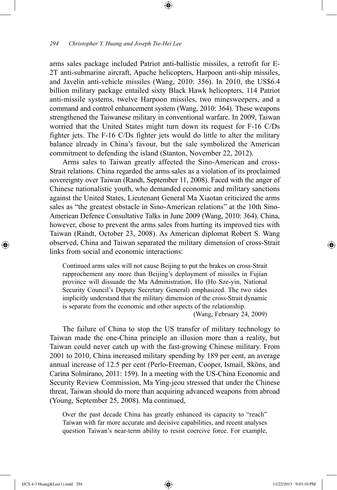arms sales package included Patriot anti-ballistic missiles, a retrofit for E-2T anti-submarine aircraft, Apache helicopters, Harpoon anti-ship missiles, and Javelin anti-vehicle missiles (Wang, 2010: 356). In 2010, the US\$6.4 billion military package entailed sixty Black Hawk helicopters, 114 Patriot anti-missile systems, twelve Harpoon missiles, two minesweepers, and a command and control enhancement system (Wang, 2010: 364). These weapons strengthened the Taiwanese military in conventional warfare. In 2009, Taiwan worried that the United States might turn down its request for F-16 C/Ds fighter jets. The F-16 C/Ds fighter jets would do little to alter the military balance already in China's favour, but the sale symbolized the American commitment to defending the island (Stanton, November 22, 2012).

⊕

Arms sales to Taiwan greatly affected the Sino-American and cross-Strait relations. China regarded the arms sales as a violation of its proclaimed sovereignty over Taiwan (Randt, September 11, 2008). Faced with the anger of Chinese nationalistic youth, who demanded economic and military sanctions against the United States, Lieutenant General Ma Xiaotan criticized the arms sales as "the greatest obstacle in Sino-American relations" at the 10th Sino-American Defence Consultative Talks in June 2009 (Wang, 2010: 364). China, however, chose to prevent the arms sales from hurting its improved ties with Taiwan (Randt, October 23, 2008). As American diplomat Robert S. Wang observed, China and Taiwan separated the military dimension of cross-Strait links from social and economic interactions:

Continued arms sales will not cause Beijing to put the brakes on cross-Strait rapprochement any more than Beijing's deployment of missiles in Fujian province will dissuade the Ma Administration, Ho (Ho Sze-yin, National Security Council's Deputy Secretary General) emphasized. The two sides implicitly understand that the military dimension of the cross-Strait dynamic is separate from the economic and other aspects of the relationship.

(Wang, February 24, 2009)

The failure of China to stop the US transfer of military technology to Taiwan made the one-China principle an illusion more than a reality, but Taiwan could never catch up with the fast-growing Chinese military. From 2001 to 2010, China increased military spending by 189 per cent, an average annual increase of 12.5 per cent (Perlo-Freeman, Cooper, Ismail, Sköns, and Carina Solmirano, 2011: 159). In a meeting with the US-China Economic and Security Review Commission, Ma Ying-jeou stressed that under the Chinese threat, Taiwan should do more than acquiring advanced weapons from abroad (Young, September 25, 2008). Ma continued,

Over the past decade China has greatly enhanced its capacity to "reach" Taiwan with far more accurate and decisive capabilities, and recent analyses question Taiwan's near-term ability to resist coercive force. For example,

⊕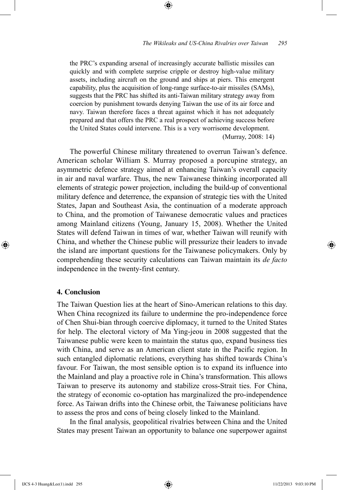#### *The Wikileaks and US-China Rivalries over Taiwan 295*

the PRC's expanding arsenal of increasingly accurate ballistic missiles can quickly and with complete surprise cripple or destroy high-value military assets, including aircraft on the ground and ships at piers. This emergent capability, plus the acquisition of long-range surface-to-air missiles (SAMs), suggests that the PRC has shifted its anti-Taiwan military strategy away from coercion by punishment towards denying Taiwan the use of its air force and navy. Taiwan therefore faces a threat against which it has not adequately prepared and that offers the PRC a real prospect of achieving success before the United States could intervene. This is a very worrisome development. (Murray, 2008: 14)

⊕

The powerful Chinese military threatened to overrun Taiwan's defence. American scholar William S. Murray proposed a porcupine strategy, an asymmetric defence strategy aimed at enhancing Taiwan's overall capacity in air and naval warfare. Thus, the new Taiwanese thinking incorporated all elements of strategic power projection, including the build-up of conventional military defence and deterrence, the expansion of strategic ties with the United States, Japan and Southeast Asia, the continuation of a moderate approach to China, and the promotion of Taiwanese democratic values and practices among Mainland citizens (Young, January 15, 2008). Whether the United States will defend Taiwan in times of war, whether Taiwan will reunify with China, and whether the Chinese public will pressurize their leaders to invade the island are important questions for the Taiwanese policymakers. Only by comprehending these security calculations can Taiwan maintain its *de facto* independence in the twenty-first century.

## **4. Conclusion**

⊕

The Taiwan Question lies at the heart of Sino-American relations to this day. When China recognized its failure to undermine the pro-independence force of Chen Shui-bian through coercive diplomacy, it turned to the United States for help. The electoral victory of Ma Ying-jeou in 2008 suggested that the Taiwanese public were keen to maintain the status quo, expand business ties with China, and serve as an American client state in the Pacific region. In such entangled diplomatic relations, everything has shifted towards China's favour. For Taiwan, the most sensible option is to expand its influence into the Mainland and play a proactive role in China's transformation. This allows Taiwan to preserve its autonomy and stabilize cross-Strait ties. For China, the strategy of economic co-optation has marginalized the pro-independence force. As Taiwan drifts into the Chinese orbit, the Taiwanese politicians have to assess the pros and cons of being closely linked to the Mainland.

In the final analysis, geopolitical rivalries between China and the United States may present Taiwan an opportunity to balance one superpower against

IJCS 4-3 Huang&Lee(1).indd 295 11/22/2013 9:03:10 PM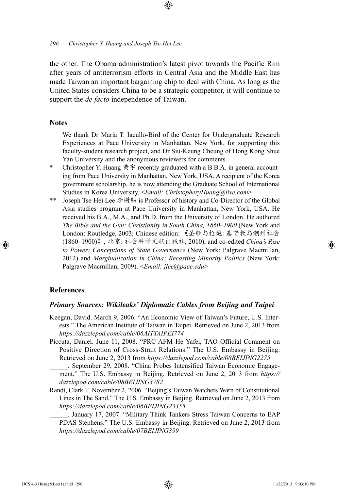the other. The Obama administration's latest pivot towards the Pacific Rim after years of antiterrorism efforts in Central Asia and the Middle East has made Taiwan an important bargaining chip to deal with China. As long as the United States considers China to be a strategic competitor, it will continue to support the *de facto* independence of Taiwan.

⊕

# **Notes**

- We thank Dr Maria T. Iacullo-Bird of the Center for Undergraduate Research Experiences at Pace University in Manhattan, New York, for supporting this faculty-student research project, and Dr Siu-Keung Cheung of Hong Kong Shue Yan University and the anonymous reviewers for comments.
- Christopher Y. Huang  $\# \hat{\mathcal{F}}$  recently graduated with a B.B.A. in general accounting from Pace University in Manhattan, New York, USA. A recipient of the Korea government scholarship, he is now attending the Graduate School of International Studies in Korea University. <*Email: ChristopheryHuang@live.com*>
- \*\* Joseph Tse-Hei Lee 李榭熙 is Professor of history and Co-Director of the Global Asia studies program at Pace University in Manhattan, New York, USA. He received his B.A., M.A., and Ph.D. from the University of London. He authored *The Bible and the Gun: Christianity in South China, 1860–1900* (New York and London: Routledge, 2003; Chinese edition: 《圣经与枪炮: 基督教与潮州社会 (1860–1900)》, 北京: 社会科学文献出版社, 2010), and co-edited *China's Rise to Power: Conceptions of State Governance* (New York: Palgrave Macmillan, 2012) and *Marginalization in China: Recasting Minority Politics* (New York: Palgrave Macmillan, 2009). <*Email: jlee@pace.edu*>

## **References**

⊕

#### *Primary Sources: Wikileaks' Diplomatic Cables from Beijing and Taipei*

- Keegan, David. March 9, 2006. "An Economic View of Taiwan's Future, U.S. Interests." The American Institute of Taiwan in Taipei. Retrieved on June 2, 2013 from *https://dazzlepod.com/cable/06AITTAIPEI774*
- Piccuta, Daniel. June 11, 2008. "PRC AFM He Yafei, TAO Official Comment on Positive Direction of Cross-Strait Relations." The U.S. Embassy in Beijing. Retrieved on June 2, 2013 from *https://dazzlepod.com/cable/08BEIJING2275*

September 29, 2008. "China Probes Intensified Taiwan Economic Engagement." The U.S. Embassy in Beijing. Retrieved on June 2, 2013 from *https:// dazzlepod.com/cable/08BEIJING3782*

Randt, Clark T. November 2, 2006. "Beijing's Taiwan Watchers Warn of Constitutional Lines in The Sand." The U.S. Embassy in Beijing. Retrieved on June 2, 2013 from *https://dazzlepod.com/cable/06BEIJING23355*

\_\_\_\_\_\_. January 17, 2007. "Military Think Tankers Stress Taiwan Concerns to EAP PDAS Stephens." The U.S. Embassy in Beijing. Retrieved on June 2, 2013 from *https://dazzlepod.com/cable/07BEIJING399*

↔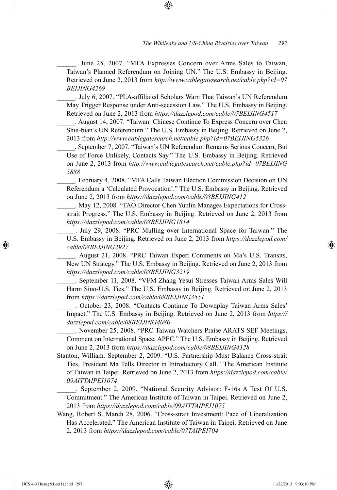\_\_\_\_\_\_. June 25, 2007. "MFA Expresses Concern over Arms Sales to Taiwan, Taiwan's Planned Referendum on Joining UN." The U.S. Embassy in Beijing. Retrieved on June 2, 2013 from *http://www.cablegatesearch.net/cable.php?id=07 BEIJING4269*

⊕

\_\_\_\_\_\_. July 6, 2007. "PLA-affiliated Scholars Warn That Taiwan's UN Referendum May Trigger Response under Anti-secession Law." The U.S. Embassy in Beijing. Retrieved on June 2, 2013 from *https://dazzlepod.com/cable/07BEIJING4517*

\_\_\_\_\_\_. August 14, 2007. "Taiwan: Chinese Continue To Express Concern over Chen Shui-bian's UN Referendum." The U.S. Embassy in Beijing. Retrieved on June 2, 2013 from *http://www.cablegatesearch.net/cable.php?id=07BEIJING5326*

September 7, 2007. "Taiwan's UN Referendum Remains Serious Concern, But Use of Force Unlikely, Contacts Say." The U.S. Embassy in Beijing. Retrieved on June 2, 2013 from *http://www.cablegatesearch.net/cable.php?id=07BEIJING 5888*

February 4, 2008. "MFA Calls Taiwan Election Commission Decision on UN Referendum a 'Calculated Provocation'." The U.S. Embassy in Beijing. Retrieved on June 2, 2013 from *https://dazzlepod.com/cable/08BEIJING412*

. May 12, 2008. "TAO Director Chen Yunlin Manages Expectations for Crossstrait Progress." The U.S. Embassy in Beijing. Retrieved on June 2, 2013 from *https://dazzlepod.com/cable/08BEIJING1814*

\_\_\_\_\_\_. July 29, 2008. "PRC Mulling over International Space for Taiwan." The U.S. Embassy in Beijing. Retrieved on June 2, 2013 from *https://dazzlepod.com/ cable/08BEIJING2927*

\_\_\_\_\_\_. August 21, 2008. "PRC Taiwan Expert Comments on Ma's U.S. Transits, New UN Strategy." The U.S. Embassy in Beijing. Retrieved on June 2, 2013 from *https://dazzlepod.com/cable/08BEIJING3219*

\_\_\_\_\_\_. September 11, 2008. "VFM Zhang Yesui Stresses Taiwan Arms Sales Will Harm Sino-U.S. Ties." The U.S. Embassy in Beijing. Retrieved on June 2, 2013 from *https://dazzlepod.com/cable/08BEIJING3551*

\_\_\_\_\_\_. October 23, 2008. "Contacts Continue To Downplay Taiwan Arms Sales' Impact." The U.S. Embassy in Beijing. Retrieved on June 2, 2013 from *https:// dazzlepod.com/cable/08BEIJING4080*

\_\_\_\_\_\_. November 25, 2008. "PRC Taiwan Watchers Praise ARATS-SEF Meetings, Comment on International Space, APEC." The U.S. Embassy in Beijing. Retrieved on June 2, 2013 from *https://dazzlepod.com/cable/08BEIJING4328*

Stanton, William. September 2, 2009. "U.S. Partnership Must Balance Cross-strait Ties, President Ma Tells Director in Introductory Call." The American Institute of Taiwan in Taipei. Retrieved on June 2, 2013 from *https://dazzlepod.com/cable/ 09AITTAIPEI1074*

\_\_\_\_\_\_. September 2, 2009. "National Security Advisor: F-16s A Test Of U.S. Commitment." The American Institute of Taiwan in Taipei. Retrieved on June 2, 2013 from *https://dazzlepod.com/cable/09AITTAIPEI1075*

Wang, Robert S. March 28, 2006. "Cross-strait Investment: Pace of Liberalization Has Accelerated." The American Institute of Taiwan in Taipei. Retrieved on June 2, 2013 from *https://dazzlepod.com/cable/07TAIPEI704*

⊕

↔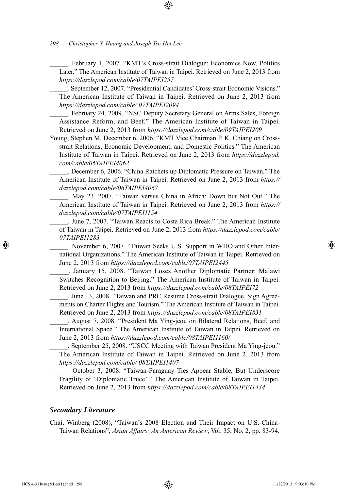\_\_\_\_\_\_. February 1, 2007. "KMT's Cross-strait Dialogue: Economics Now, Politics Later." The American Institute of Taiwan in Taipei. Retrieved on June 2, 2013 from *https://dazzlepod.com/cable/07TAIPEI257*

⊕

\_\_\_\_\_\_. September 12, 2007. "Presidential Candidates' Cross-strait Economic Visions." The American Institute of Taiwan in Taipei. Retrieved on June 2, 2013 from *https://dazzlepod.com/cable/ 07TAIPEI2094*

\_\_\_\_\_\_. February 24, 2009. "NSC Deputy Secretary General on Arms Sales, Foreign Assistance Reform, and Beef." The American Institute of Taiwan in Taipei. Retrieved on June 2, 2013 from *https://dazzlepod.com/cable/09TAIPEI209*

Young, Stephen M. December 6, 2006. "KMT Vice Chairman P. K. Chiang on Crossstrait Relations, Economic Development, and Domestic Politics." The American Institute of Taiwan in Taipei. Retrieved on June 2, 2013 from *https://dazzlepod. com/cable/06TAIPEI4062*

\_\_\_\_\_\_. December 6, 2006. "China Ratchets up Diplomatic Pressure on Taiwan." The American Institute of Taiwan in Taipei. Retrieved on June 2, 2013 from *https:// dazzlepod.com/cable/06TAIPEI4067*

\_\_\_\_\_\_. May 23, 2007. "Taiwan versus China in Africa: Down but Not Out." The American Institute of Taiwan in Taipei. Retrieved on June 2, 2013 from *https:// dazzlepod.com/cable/07TAIPEI1154*

June 7, 2007. "Taiwan Reacts to Costa Rica Break." The American Institute of Taiwan in Taipei. Retrieved on June 2, 2013 from *https://dazzlepod.com/cable/ 07TAIPEI1283*

\_\_\_\_\_\_. November 6, 2007. "Taiwan Seeks U.S. Support in WHO and Other International Organizations." The American Institute of Taiwan in Taipei. Retrieved on June 2, 2013 from *https://dazzlepod.com/cable/07TAIPEI2445*

\_\_\_\_\_\_. January 15, 2008. "Taiwan Loses Another Diplomatic Partner: Malawi Switches Recognition to Beijing." The American Institute of Taiwan in Taipei. Retrieved on June 2, 2013 from *https://dazzlepod.com/cable/08TAIPEI72*

\_\_\_\_\_\_. June 13, 2008. "Taiwan and PRC Resume Cross-strait Dialogue, Sign Agreements on Charter Flights and Tourism." The American Institute of Taiwan in Taipei. Retrieved on June 2, 2013 from *https://dazzlepod.com/cable/08TAIPEI831*

\_\_\_\_\_\_. August 7, 2008. "President Ma Ying-jeou on Bilateral Relations, Beef, and International Space." The American Institute of Taiwan in Taipei. Retrieved on June 2, 2013 from *https://dazzlepod.com/cable/08TAIPEI1160/*

\_\_\_\_\_\_. September 25, 2008. "USCC Meeting with Taiwan President Ma Ying-jeou." The American Institute of Taiwan in Taipei. Retrieved on June 2, 2013 from *https://dazzlepod.com/cable/ 08TAIPEI1407*

\_\_\_\_\_\_. October 3, 2008. "Taiwan-Paraguay Ties Appear Stable, But Underscore Fragility of 'Diplomatic Truce'." The American Institute of Taiwan in Taipei. Retrieved on June 2, 2013 from *https://dazzlepod.com/cable/08TAIPEI1434*

#### *Secondary Literature*

Chai, Winberg (2008), "Taiwan's 2008 Election and Their Impact on U.S.-China-Taiwan Relations", *Asian Affairs: An American Review*, Vol. 35, No. 2, pp. 83-94.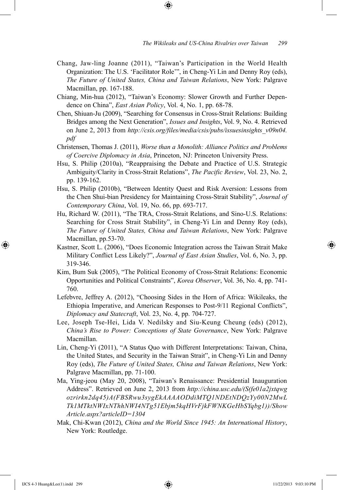Chang, Jaw-ling Joanne (2011), "Taiwan's Participation in the World Health Organization: The U.S. 'Facilitator Role'", in Cheng-Yi Lin and Denny Roy (eds), *The Future of United States, China and Taiwan Relations*, New York: Palgrave Macmillan, pp. 167-188.

⊕

- Chiang, Min-hua (2012), "Taiwan's Economy: Slower Growth and Further Dependence on China", *East Asian Policy*, Vol. 4, No. 1, pp. 68-78.
- Chen, Shiuan-Ju (2009), "Searching for Consensus in Cross-Strait Relations: Building Bridges among the Next Generation", *Issues and Insights*, Vol. 9, No. 4. Retrieved on June 2, 2013 from *http://csis.org/files/media/csis/pubs/issuesinsights\_v09n04. pdf*
- Christensen, Thomas J. (2011), *Worse than a Monolith: Alliance Politics and Problems of Coercive Diplomacy in Asia*, Princeton, NJ: Princeton University Press.
- Hsu, S. Philip (2010a), "Reappraising the Debate and Practice of U.S. Strategic Ambiguity/Clarity in Cross-Strait Relations", *The Pacific Review*, Vol. 23, No. 2, pp. 139-162.
- Hsu, S. Philip (2010b), "Between Identity Quest and Risk Aversion: Lessons from the Chen Shui-bian Presidency for Maintaining Cross-Strait Stability", *Journal of Contemporary China*, Vol. 19, No. 66, pp. 693-717.
- Hu, Richard W. (2011), "The TRA, Cross-Strait Relations, and Sino-U.S. Relations: Searching for Cross Strait Stability", in Cheng-Yi Lin and Denny Roy (eds), *The Future of United States, China and Taiwan Relations*, New York: Palgrave Macmillan, pp.53-70.
- Kastner, Scott L. (2006), "Does Economic Integration across the Taiwan Strait Make Military Conflict Less Likely?", *Journal of East Asian Studies*, Vol. 6, No. 3, pp. 319-346.
- Kim, Bum Suk (2005), "The Political Economy of Cross-Strait Relations: Economic Opportunities and Political Constraints", *Korea Observer*, Vol. 36, No. 4, pp. 741- 760.
- Lefebvre, Jeffrey A. (2012), "Choosing Sides in the Horn of Africa: Wikileaks, the Ethiopia Imperative, and American Responses to Post-9/11 Regional Conflicts", *Diplomacy and Statecraft*, Vol. 23, No. 4, pp. 704-727.
- Lee, Joseph Tse-Hei, Lida V. Nedilsky and Siu-Keung Cheung (eds) (2012), *China's Rise to Power: Conceptions of State Governance*, New York: Palgrave Macmillan.
- Lin, Cheng-Yi (2011), "A Status Quo with Different Interpretations: Taiwan, China, the United States, and Security in the Taiwan Strait", in Cheng-Yi Lin and Denny Roy (eds), *The Future of United States, China and Taiwan Relations*, New York: Palgrave Macmillan, pp. 71-100.
- Ma, Ying-jeou (May 20, 2008), "Taiwan's Renaissance: Presidential Inauguration Address". Retrieved on June 2, 2013 from *http://china.usc.edu/(S(fe01a2jxtqwg ozrirkn2dq45)A(FBSRwu3sygEkAAAAODdiMTQ1NDEtNDQzYy00N2MwL Tk1MTktNWIxNThhNWI4NTg51Ebjm5kqHVrFjkFWNKGeHbSYqbg1))/Show Article.aspx?articleID=1304*
- Mak, Chi-Kwan (2012), *China and the World Since 1945: An International History*, New York: Routledge.

⊕